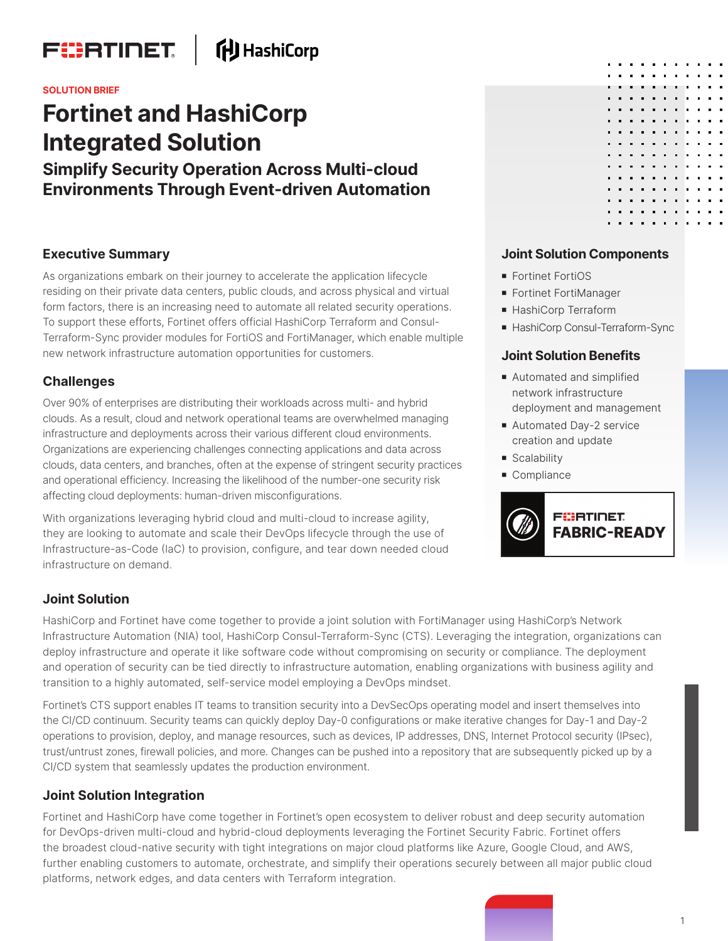

# **什** HashiCorp

#### **SOLUTION BRIEF**

# **Fortinet and HashiCorp Integrated Solution**

**Simplify Security Operation Across Multi-cloud Environments Through Event-driven Automation**

#### **Executive Summary**

As organizations embark on their journey to accelerate the application lifecycle residing on their private data centers, public clouds, and across physical and virtual form factors, there is an increasing need to automate all related security operations. To support these efforts, Fortinet offers official HashiCorp Terraform and Consul-Terraform-Sync provider modules for FortiOS and FortiManager, which enable multiple new network infrastructure automation opportunities for customers.

# **Challenges**

Over 90% of enterprises are distributing their workloads across multi- and hybrid clouds. As a result, cloud and network operational teams are overwhelmed managing infrastructure and deployments across their various different cloud environments. Organizations are experiencing challenges connecting applications and data across clouds, data centers, and branches, often at the expense of stringent security practices and operational efficiency. Increasing the likelihood of the number-one security risk affecting cloud deployments: human-driven misconfigurations.

With organizations leveraging hybrid cloud and multi-cloud to increase agility, they are looking to automate and scale their DevOps lifecycle through the use of Infrastructure-as-Code (IaC) to provision, configure, and tear down needed cloud infrastructure on demand.

# **Joint Solution Components**

- Fortinet FortiOS
- **Fortinet FortiManager**
- HashiCorp Terraform
- HashiCorp Consul-Terraform-Sync

# **Joint Solution Benefits**

- Automated and simplified network infrastructure deployment and management
- Automated Day-2 service creation and update
- Scalability
- Compliance



#### **Joint Solution**

HashiCorp and Fortinet have come together to provide a joint solution with FortiManager using HashiCorp's Network Infrastructure Automation (NIA) tool, HashiCorp Consul-Terraform-Sync (CTS). Leveraging the integration, organizations can deploy infrastructure and operate it like software code without compromising on security or compliance. The deployment and operation of security can be tied directly to infrastructure automation, enabling organizations with business agility and transition to a highly automated, self-service model employing a DevOps mindset.

Fortinet's CTS support enables IT teams to transition security into a DevSecOps operating model and insert themselves into the CI/CD continuum. Security teams can quickly deploy Day-0 configurations or make iterative changes for Day-1 and Day-2 operations to provision, deploy, and manage resources, such as devices, IP addresses, DNS, Internet Protocol security (IPsec), trust/untrust zones, firewall policies, and more. Changes can be pushed into a repository that are subsequently picked up by a CI/CD system that seamlessly updates the production environment.

# **Joint Solution Integration**

Fortinet and HashiCorp have come together in Fortinet's open ecosystem to deliver robust and deep security automation for DevOps-driven multi-cloud and hybrid-cloud deployments leveraging the Fortinet Security Fabric. Fortinet offers the broadest cloud-native security with tight integrations on major cloud platforms like Azure, Google Cloud, and AWS, further enabling customers to automate, orchestrate, and simplify their operations securely between all major public cloud platforms, network edges, and data centers with Terraform integration.

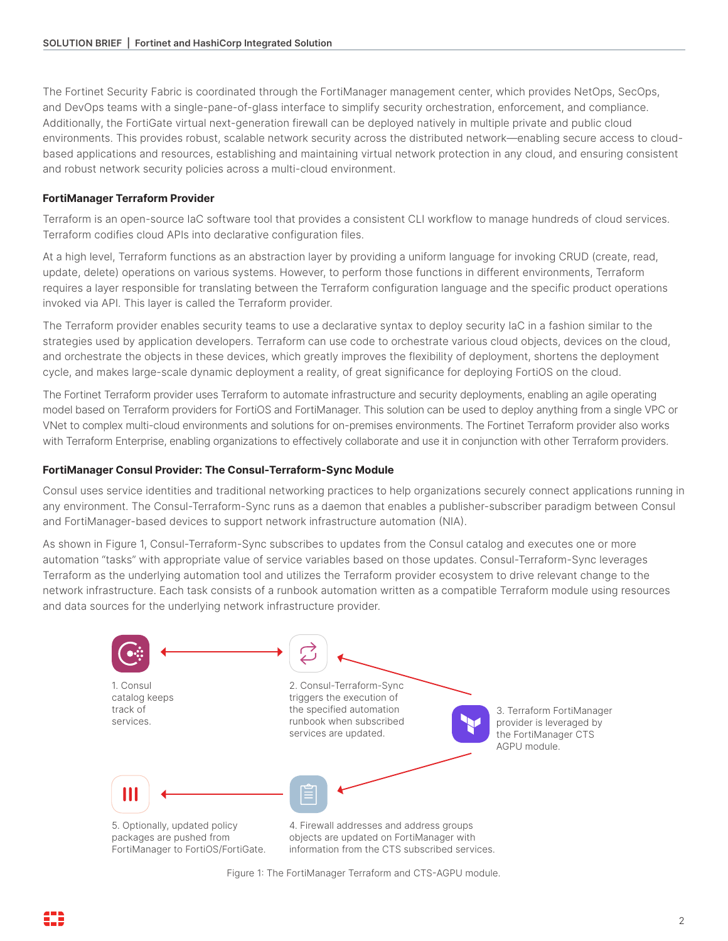The Fortinet Security Fabric is coordinated through the FortiManager management center, which provides NetOps, SecOps, and DevOps teams with a single-pane-of-glass interface to simplify security orchestration, enforcement, and compliance. Additionally, the FortiGate virtual next-generation firewall can be deployed natively in multiple private and public cloud environments. This provides robust, scalable network security across the distributed network—enabling secure access to cloudbased applications and resources, establishing and maintaining virtual network protection in any cloud, and ensuring consistent and robust network security policies across a multi-cloud environment.

#### **FortiManager Terraform Provider**

Terraform is an open-source IaC software tool that provides a consistent CLI workflow to manage hundreds of cloud services. Terraform codifies cloud APIs into declarative configuration files.

At a high level, Terraform functions as an abstraction layer by providing a uniform language for invoking CRUD (create, read, update, delete) operations on various systems. However, to perform those functions in different environments, Terraform requires a layer responsible for translating between the Terraform configuration language and the specific product operations invoked via API. This layer is called the Terraform provider.

The Terraform provider enables security teams to use a declarative syntax to deploy security IaC in a fashion similar to the strategies used by application developers. Terraform can use code to orchestrate various cloud objects, devices on the cloud, and orchestrate the objects in these devices, which greatly improves the flexibility of deployment, shortens the deployment cycle, and makes large-scale dynamic deployment a reality, of great significance for deploying FortiOS on the cloud.

The Fortinet Terraform provider uses Terraform to automate infrastructure and security deployments, enabling an agile operating model based on Terraform providers for FortiOS and FortiManager. This solution can be used to deploy anything from a single VPC or VNet to complex multi-cloud environments and solutions for on-premises environments. The Fortinet Terraform provider also works with Terraform Enterprise, enabling organizations to effectively collaborate and use it in conjunction with other Terraform providers.

#### **FortiManager Consul Provider: The Consul-Terraform-Sync Module**

Consul uses service identities and traditional networking practices to help organizations securely connect applications running in any environment. The Consul-Terraform-Sync runs as a daemon that enables a publisher-subscriber paradigm between Consul and FortiManager-based devices to support network infrastructure automation (NIA).

As shown in Figure 1, Consul-Terraform-Sync subscribes to updates from the Consul catalog and executes one or more automation "tasks" with appropriate value of service variables based on those updates. Consul-Terraform-Sync leverages Terraform as the underlying automation tool and utilizes the Terraform provider ecosystem to drive relevant change to the network infrastructure. Each task consists of a runbook automation written as a compatible Terraform module using resources and data sources for the underlying network infrastructure provider.



Figure 1: The FortiManager Terraform and CTS-AGPU module.